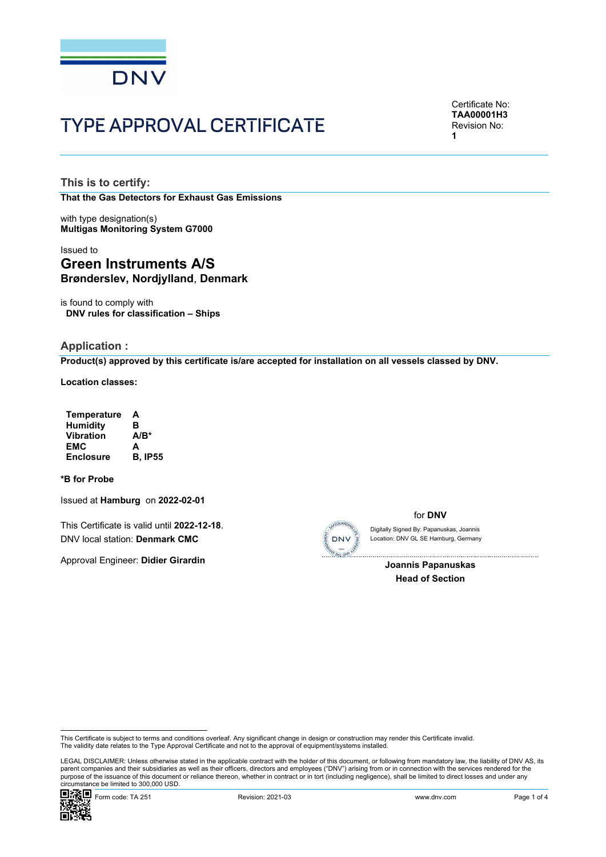

# TYPE APPROVAL CERTIFICATE

Certificate No: **TAA00001H3** Revision No: **1** 

**This is to certify: That the Gas Detectors for Exhaust Gas Emissions**

with type designation(s) **Multigas Monitoring System G7000**

## Issued to **Green Instruments A/S Brønderslev, Nordjylland**, **Denmark**

is found to comply with **DNV rules for classification – Ships**

### **Application :**

**Product(s) approved by this certificate is/are accepted for installation on all vessels classed by DNV.**

**Location classes:** 

| <b>Temperature</b> | А              |
|--------------------|----------------|
| <b>Humidity</b>    | в              |
| <b>Vibration</b>   | $A/B^*$        |
| EMC                | A              |
| <b>Enclosure</b>   | <b>B. IP55</b> |

#### **\*B for Probe**

Issued at **Hamburg** on **2022-02-01**

This Certificate is valid until **2022-12-18**. DNV local station: **Denmark CMC**

Approval Engineer: **Didier Girardin**



for **DNV**

Location: DNV GL SE Hamburg, Germany Digitally Signed By: Papanuskas, Joannis

> $\overline{\phantom{a}}$ **Joannis Papanuskas Head of Section**

 LEGAL DISCLAIMER: Unless otherwise stated in the applicable contract with the holder of this document, or following from mandatory law, the liability of DNV AS, its parent companies and their subsidiaries as well as their officers, directors and employees ("DNV") arising from or in connection with the services rendered for the purpose of the issuance of this document or reliance thereon, whether in contract or in tort (including negligence), shall be limited to direct losses and under any circumstance be limited to 300,000 USD.



This Certificate is subject to terms and conditions overleaf. Any significant change in design or construction may render this Certificate invalid.<br>The validity date relates to the Type Approval Certificate and not to the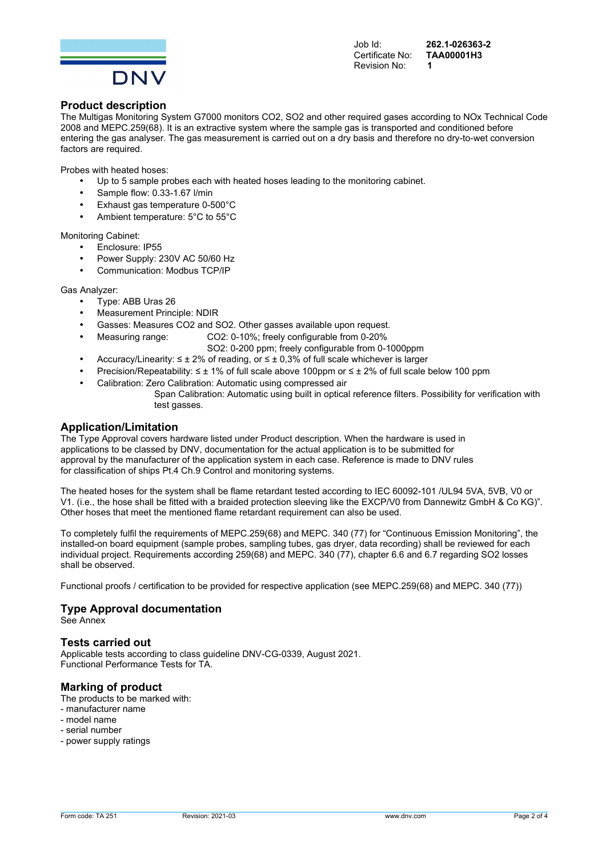

Certificate No: Revision No: **1** 

Job Id: **262.1-026363-2** 

#### **Product description**

The Multigas Monitoring System G7000 monitors CO2, SO2 and other required gases according to NOx Technical Code 2008 and MEPC.259(68). It is an extractive system where the sample gas is transported and conditioned before entering the gas analyser. The gas measurement is carried out on a dry basis and therefore no dry-to-wet conversion factors are required.

Probes with heated hoses:

- Up to 5 sample probes each with heated hoses leading to the monitoring cabinet.
- Sample flow: 0.33-1.67 l/min
- Exhaust gas temperature 0-500°C
- Ambient temperature: 5°C to 55°C

Monitoring Cabinet:

- Enclosure: IP55
- Power Supply: 230V AC 50/60 Hz
- Communication: Modbus TCP/IP

Gas Analyzer:

- Type: ABB Uras 26
- Measurement Principle: NDIR
- Gasses: Measures CO2 and SO2. Other gasses available upon request.
- Measuring range: CO2: 0-10%; freely configurable from 0-20%
	- SO2: 0-200 ppm; freely configurable from 0-1000ppm
- Accuracy/Linearity:  $\leq \pm 2\%$  of reading, or  $\leq \pm 0.3\%$  of full scale whichever is larger
- Precision/Repeatability: ≤ ± 1% of full scale above 100ppm or ≤ ± 2% of full scale below 100 ppm
- Calibration: Zero Calibration: Automatic using compressed air
	- Span Calibration: Automatic using built in optical reference filters. Possibility for verification with test gasses.

#### **Application/Limitation**

The Type Approval covers hardware listed under Product description. When the hardware is used in applications to be classed by DNV, documentation for the actual application is to be submitted for approval by the manufacturer of the application system in each case. Reference is made to DNV rules for classification of ships Pt.4 Ch.9 Control and monitoring systems.

The heated hoses for the system shall be flame retardant tested according to IEC 60092-101 /UL94 5VA, 5VB, V0 or V1. (i.e., the hose shall be fitted with a braided protection sleeving like the EXCP/V0 from Dannewitz GmbH & Co KG)". Other hoses that meet the mentioned flame retardant requirement can also be used.

To completely fulfil the requirements of MEPC.259(68) and MEPC. 340 (77) for "Continuous Emission Monitoring", the installed-on board equipment (sample probes, sampling tubes, gas dryer, data recording) shall be reviewed for each individual project. Requirements according 259(68) and MEPC. 340 (77), chapter 6.6 and 6.7 regarding SO2 losses shall be observed.

Functional proofs / certification to be provided for respective application (see MEPC.259(68) and MEPC. 340 (77))

#### **Type Approval documentation**

See Annex

#### **Tests carried out**

Applicable tests according to class guideline DNV-CG-0339, August 2021. Functional Performance Tests for TA.

## **Marking of product**

- The products to be marked with:
- manufacturer name
- model name
- serial number
- power supply ratings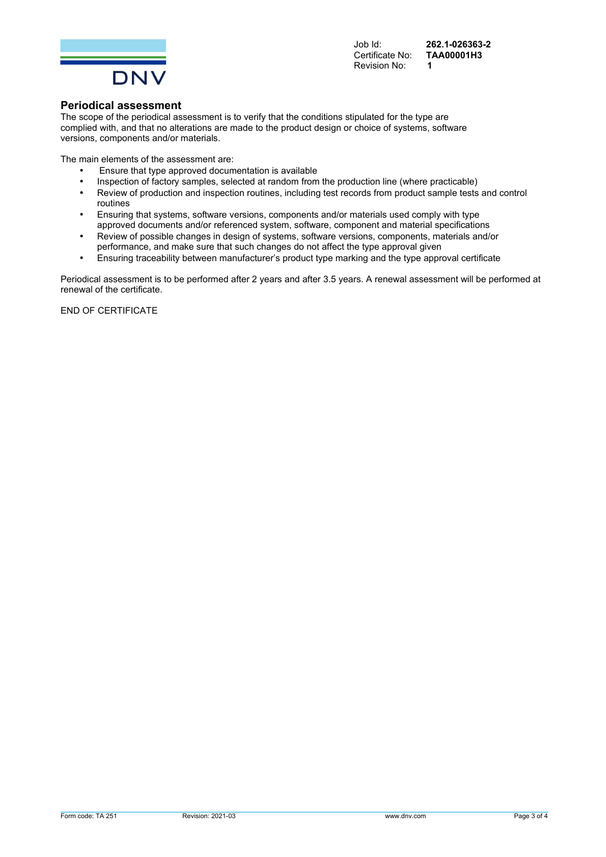

Certificate No: Revision No: **1** 

Job Id: **262.1-026363-2** 

#### **Periodical assessment**

The scope of the periodical assessment is to verify that the conditions stipulated for the type are complied with, and that no alterations are made to the product design or choice of systems, software versions, components and/or materials.

The main elements of the assessment are:

- Ensure that type approved documentation is available
- Inspection of factory samples, selected at random from the production line (where practicable)
- Review of production and inspection routines, including test records from product sample tests and control routines
- Ensuring that systems, software versions, components and/or materials used comply with type approved documents and/or referenced system, software, component and material specifications
- Review of possible changes in design of systems, software versions, components, materials and/or performance, and make sure that such changes do not affect the type approval given
- Ensuring traceability between manufacturer's product type marking and the type approval certificate

Periodical assessment is to be performed after 2 years and after 3.5 years. A renewal assessment will be performed at renewal of the certificate.

END OF CERTIFICATE